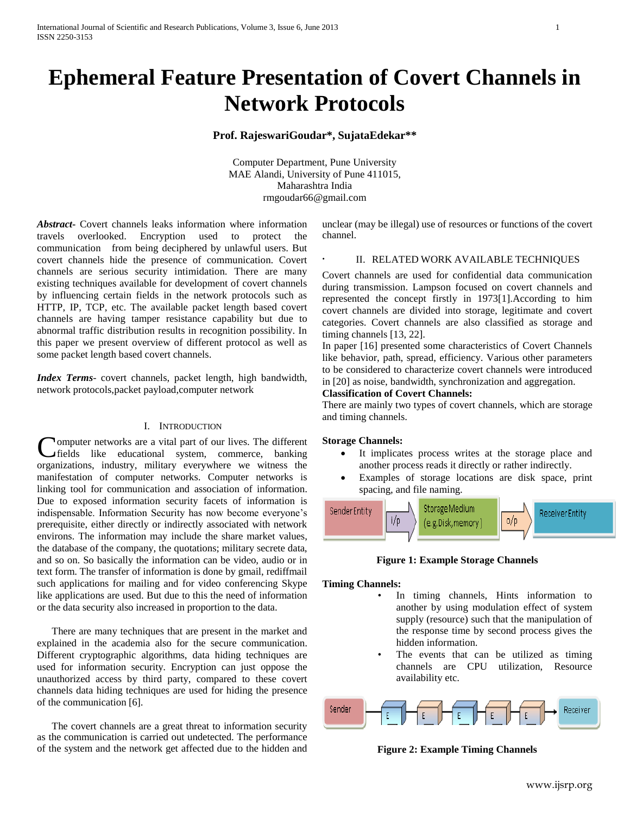# **Ephemeral Feature Presentation of Covert Channels in Network Protocols**

# **Prof. RajeswariGoudar\*, SujataEdekar\*\***

Computer Department, Pune University MAE Alandi, University of Pune 411015, Maharashtra India rmgoudar66@gmail.com

**.** 

*Abstract***-** Covert channels leaks information where information travels overlooked. Encryption used to protect the communication from being deciphered by unlawful users. But covert channels hide the presence of communication. Covert channels are serious security intimidation. There are many existing techniques available for development of covert channels by influencing certain fields in the network protocols such as HTTP, IP, TCP, etc. The available packet length based covert channels are having tamper resistance capability but due to abnormal traffic distribution results in recognition possibility. In this paper we present overview of different protocol as well as some packet length based covert channels.

*Index Terms*- covert channels, packet length, high bandwidth, network protocols,packet payload,computer network

#### I. INTRODUCTION

omputer networks are a vital part of our lives. The different fields like educational system, commerce, banking **Computer networks are a vital part of our lives. The different fields** like educational system, commerce, banking organizations, industry, military everywhere we witness the manifestation of computer networks. Computer networks is linking tool for communication and association of information. Due to exposed information security facets of information is indispensable. Information Security has now become everyone's prerequisite, either directly or indirectly associated with network environs. The information may include the share market values, the database of the company, the quotations; military secrete data, and so on. So basically the information can be video, audio or in text form. The transfer of information is done by gmail, rediffmail such applications for mailing and for video conferencing Skype like applications are used. But due to this the need of information or the data security also increased in proportion to the data.

There are many techniques that are present in the market and explained in the academia also for the secure communication. Different cryptographic algorithms, data hiding techniques are used for information security. Encryption can just oppose the unauthorized access by third party, compared to these covert channels data hiding techniques are used for hiding the presence of the communication [6].

The covert channels are a great threat to information security as the communication is carried out undetected. The performance of the system and the network get affected due to the hidden and unclear (may be illegal) use of resources or functions of the covert channel.

# II. RELATED WORK AVAILABLE TECHNIQUES

Covert channels are used for confidential data communication during transmission. Lampson focused on covert channels and represented the concept firstly in 1973[1].According to him covert channels are divided into storage, legitimate and covert categories. Covert channels are also classified as storage and timing channels [13, 22].

In paper [16] presented some characteristics of Covert Channels like behavior, path, spread, efficiency. Various other parameters to be considered to characterize covert channels were introduced in [20] as noise, bandwidth, synchronization and aggregation.

## **Classification of Covert Channels:**

There are mainly two types of covert channels, which are storage and timing channels.

## **Storage Channels:**

- It implicates process writes at the storage place and another process reads it directly or rather indirectly.
- Examples of storage locations are disk space, print spacing, and file naming.



**Figure 1: Example Storage Channels**

#### **Timing Channels:**

- In timing channels, Hints information to another by using modulation effect of system supply (resource) such that the manipulation of the response time by second process gives the hidden information.
- The events that can be utilized as timing channels are CPU utilization, Resource availability etc.



**Figure 2: Example Timing Channels**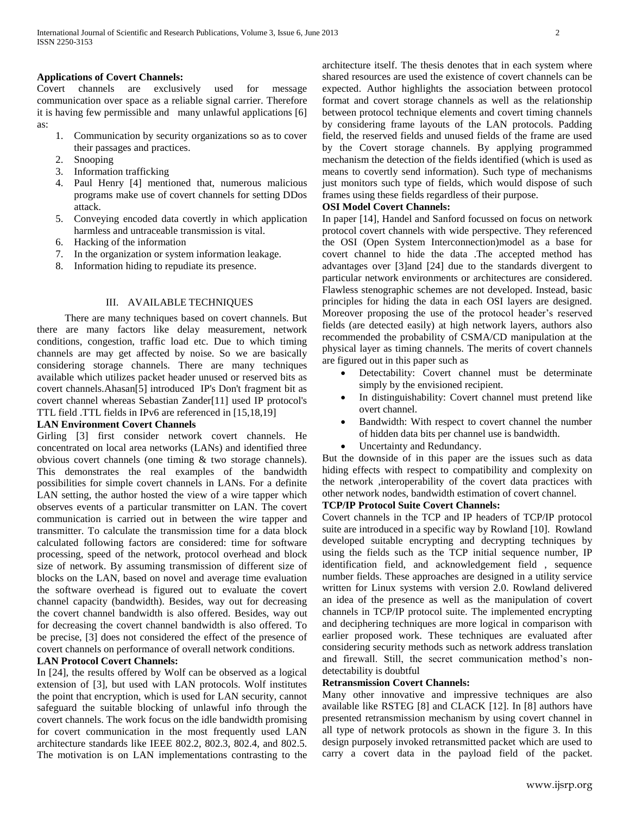## **Applications of Covert Channels:**

Covert channels are exclusively used for message communication over space as a reliable signal carrier. Therefore it is having few permissible and many unlawful applications [6] as:

- 1. Communication by security organizations so as to cover their passages and practices.
- 2. Snooping
- 3. Information trafficking
- 4. Paul Henry [4] mentioned that, numerous malicious programs make use of covert channels for setting DDos attack.
- 5. Conveying encoded data covertly in which application harmless and untraceable transmission is vital.
- 6. Hacking of the information
- 7. In the organization or system information leakage.
- 8. Information hiding to repudiate its presence.

## III. AVAILABLE TECHNIQUES

There are many techniques based on covert channels. But there are many factors like delay measurement, network conditions, congestion, traffic load etc. Due to which timing channels are may get affected by noise. So we are basically considering storage channels. There are many techniques available which utilizes packet header unused or reserved bits as covert channels.Ahasan[5] introduced IP's Don't fragment bit as covert channel whereas Sebastian Zander[11] used IP protocol's TTL field .TTL fields in IPv6 are referenced in [15,18,19]

## **LAN Environment Covert Channels**

Girling [3] first consider network covert channels. He concentrated on local area networks (LANs) and identified three obvious covert channels (one timing & two storage channels). This demonstrates the real examples of the bandwidth possibilities for simple covert channels in LANs. For a definite LAN setting, the author hosted the view of a wire tapper which observes events of a particular transmitter on LAN. The covert communication is carried out in between the wire tapper and transmitter. To calculate the transmission time for a data block calculated following factors are considered: time for software processing, speed of the network, protocol overhead and block size of network. By assuming transmission of different size of blocks on the LAN, based on novel and average time evaluation the software overhead is figured out to evaluate the covert channel capacity (bandwidth). Besides, way out for decreasing the covert channel bandwidth is also offered. Besides, way out for decreasing the covert channel bandwidth is also offered. To be precise, [3] does not considered the effect of the presence of covert channels on performance of overall network conditions.

# **LAN Protocol Covert Channels:**

In [24], the results offered by Wolf can be observed as a logical extension of [3], but used with LAN protocols. Wolf institutes the point that encryption, which is used for LAN security, cannot safeguard the suitable blocking of unlawful info through the covert channels. The work focus on the idle bandwidth promising for covert communication in the most frequently used LAN architecture standards like IEEE 802.2, 802.3, 802.4, and 802.5. The motivation is on LAN implementations contrasting to the architecture itself. The thesis denotes that in each system where shared resources are used the existence of covert channels can be expected. Author highlights the association between protocol format and covert storage channels as well as the relationship between protocol technique elements and covert timing channels by considering frame layouts of the LAN protocols. Padding field, the reserved fields and unused fields of the frame are used by the Covert storage channels. By applying programmed mechanism the detection of the fields identified (which is used as means to covertly send information). Such type of mechanisms just monitors such type of fields, which would dispose of such frames using these fields regardless of their purpose.

## **OSI Model Covert Channels:**

In paper [14], Handel and Sanford focussed on focus on network protocol covert channels with wide perspective. They referenced the OSI (Open System Interconnection)model as a base for covert channel to hide the data .The accepted method has advantages over [3]and [24] due to the standards divergent to particular network environments or architectures are considered. Flawless stenographic schemes are not developed. Instead, basic principles for hiding the data in each OSI layers are designed. Moreover proposing the use of the protocol header's reserved fields (are detected easily) at high network layers, authors also recommended the probability of CSMA/CD manipulation at the physical layer as timing channels. The merits of covert channels are figured out in this paper such as

- Detectability: Covert channel must be determinate simply by the envisioned recipient.
- In distinguishability: Covert channel must pretend like overt channel.
- Bandwidth: With respect to covert channel the number of hidden data bits per channel use is bandwidth.
- Uncertainty and Redundancy.

But the downside of in this paper are the issues such as data hiding effects with respect to compatibility and complexity on the network ,interoperability of the covert data practices with other network nodes, bandwidth estimation of covert channel.

# **TCP/IP Protocol Suite Covert Channels:**

Covert channels in the TCP and IP headers of TCP/IP protocol suite are introduced in a specific way by Rowland [10]. Rowland developed suitable encrypting and decrypting techniques by using the fields such as the TCP initial sequence number, IP identification field, and acknowledgement field , sequence number fields. These approaches are designed in a utility service written for Linux systems with version 2.0. Rowland delivered an idea of the presence as well as the manipulation of covert channels in TCP/IP protocol suite. The implemented encrypting and deciphering techniques are more logical in comparison with earlier proposed work. These techniques are evaluated after considering security methods such as network address translation and firewall. Still, the secret communication method's nondetectability is doubtful

#### **Retransmission Covert Channels:**

Many other innovative and impressive techniques are also available like RSTEG [8] and CLACK [12]. In [8] authors have presented retransmission mechanism by using covert channel in all type of network protocols as shown in the figure 3. In this design purposely invoked retransmitted packet which are used to carry a covert data in the payload field of the packet.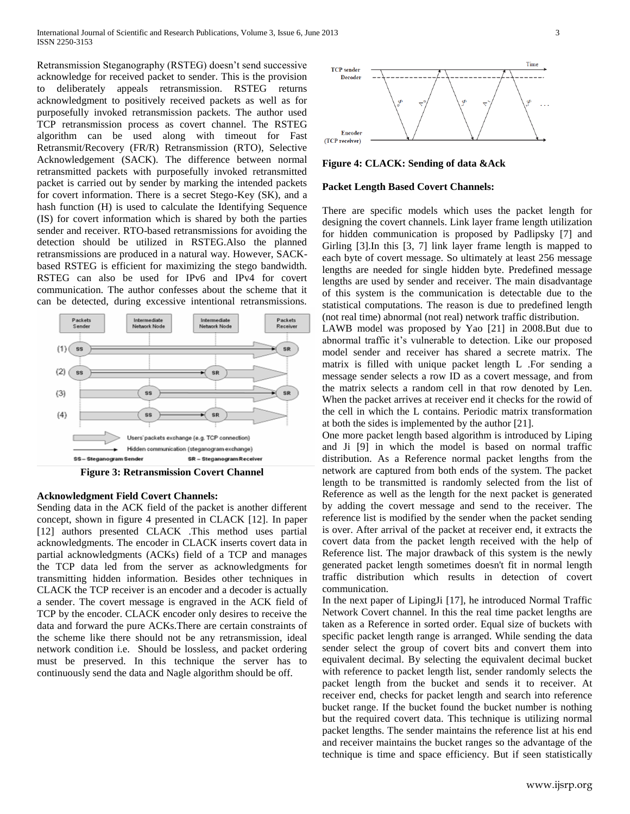Retransmission Steganography (RSTEG) doesn't send successive acknowledge for received packet to sender. This is the provision to deliberately appeals retransmission. RSTEG returns acknowledgment to positively received packets as well as for purposefully invoked retransmission packets. The author used TCP retransmission process as covert channel. The RSTEG algorithm can be used along with timeout for Fast Retransmit/Recovery (FR/R) Retransmission (RTO), Selective Acknowledgement (SACK). The difference between normal retransmitted packets with purposefully invoked retransmitted packet is carried out by sender by marking the intended packets for covert information. There is a secret Stego-Key (SK), and a hash function (H) is used to calculate the Identifying Sequence (IS) for covert information which is shared by both the parties sender and receiver. RTO-based retransmissions for avoiding the detection should be utilized in RSTEG.Also the planned retransmissions are produced in a natural way. However, SACKbased RSTEG is efficient for maximizing the stego bandwidth. RSTEG can also be used for IPv6 and IPv4 for covert communication. The author confesses about the scheme that it can be detected, during excessive intentional retransmissions.



#### **Acknowledgment Field Covert Channels:**

Sending data in the ACK field of the packet is another different concept, shown in figure 4 presented in CLACK [12]. In paper [12] authors presented CLACK .This method uses partial acknowledgments. The encoder in CLACK inserts covert data in partial acknowledgments (ACKs) field of a TCP and manages the TCP data led from the server as acknowledgments for transmitting hidden information. Besides other techniques in CLACK the TCP receiver is an encoder and a decoder is actually a sender. The covert message is engraved in the ACK field of TCP by the encoder. CLACK encoder only desires to receive the data and forward the pure ACKs.There are certain constraints of the scheme like there should not be any retransmission, ideal network condition i.e. Should be lossless, and packet ordering must be preserved. In this technique the server has to continuously send the data and Nagle algorithm should be off.



#### **Figure 4: CLACK: Sending of data &Ack**

### **Packet Length Based Covert Channels:**

There are specific models which uses the packet length for designing the covert channels. Link layer frame length utilization for hidden communication is proposed by Padlipsky [7] and Girling [3].In this [3, 7] link layer frame length is mapped to each byte of covert message. So ultimately at least 256 message lengths are needed for single hidden byte. Predefined message lengths are used by sender and receiver. The main disadvantage of this system is the communication is detectable due to the statistical computations. The reason is due to predefined length (not real time) abnormal (not real) network traffic distribution.

LAWB model was proposed by Yao [21] in 2008.But due to abnormal traffic it's vulnerable to detection. Like our proposed model sender and receiver has shared a secrete matrix. The matrix is filled with unique packet length L .For sending a message sender selects a row ID as a covert message, and from the matrix selects a random cell in that row denoted by Len. When the packet arrives at receiver end it checks for the rowid of the cell in which the L contains. Periodic matrix transformation at both the sides is implemented by the author [21].

One more packet length based algorithm is introduced by Liping and Ji [9] in which the model is based on normal traffic distribution. As a Reference normal packet lengths from the network are captured from both ends of the system. The packet length to be transmitted is randomly selected from the list of Reference as well as the length for the next packet is generated by adding the covert message and send to the receiver. The reference list is modified by the sender when the packet sending is over. After arrival of the packet at receiver end, it extracts the covert data from the packet length received with the help of Reference list. The major drawback of this system is the newly generated packet length sometimes doesn't fit in normal length traffic distribution which results in detection of covert communication.

In the next paper of LipingJi [17], he introduced Normal Traffic Network Covert channel. In this the real time packet lengths are taken as a Reference in sorted order. Equal size of buckets with specific packet length range is arranged. While sending the data sender select the group of covert bits and convert them into equivalent decimal. By selecting the equivalent decimal bucket with reference to packet length list, sender randomly selects the packet length from the bucket and sends it to receiver. At receiver end, checks for packet length and search into reference bucket range. If the bucket found the bucket number is nothing but the required covert data. This technique is utilizing normal packet lengths. The sender maintains the reference list at his end and receiver maintains the bucket ranges so the advantage of the technique is time and space efficiency. But if seen statistically